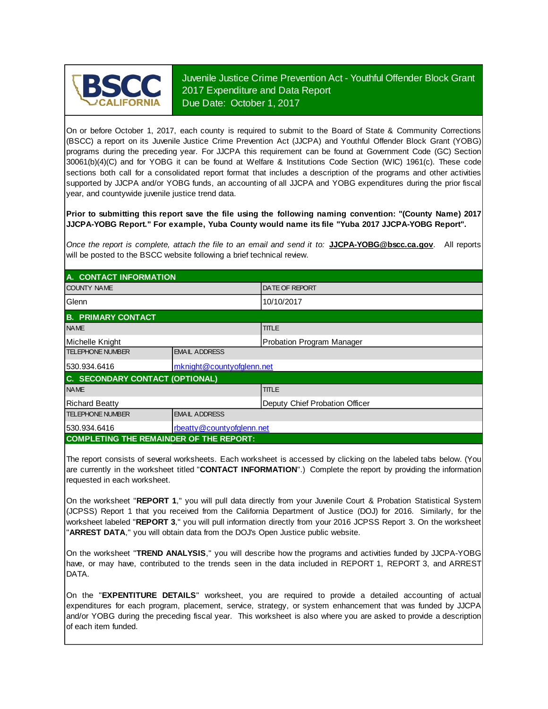

Juvenile Justice Crime Prevention Act - Youthful Offender Block Grant 2017 Expenditure and Data Report Due Date: October 1, 2017

On or before October 1, 2017, each county is required to submit to the Board of State & Community Corrections (BSCC) <sup>a</sup> report on its Juvenile Justice Crime Prevention Act (JJCPA) and Youthful Offender Block Grant (YOBG) programs during the preceding year. For JJCPA this requirement can be found at Government Code (GC) Section 30061(b)(4)(C) and for YOBG it can be found at Welfare & Institutions Code Section (WIC) 1961(c). These code sections both call for <sup>a</sup> consolidated report format that includes <sup>a</sup> description of the programs and other activities supported by JJCPA and/or YOBG funds, an accounting of all JJCPA and YOBG expenditures during the prior fiscal year, and countywide juvenile justice trend data.

**Prior to submitting this report save the file using the following naming convention: "(County Name) 2017 JJCPA-YOBG Report." For example, Yuba County would name its file "Yuba 2017 JJCPA-YOBG Report".**

*Once the report is complete, attach the file t o an email and send it to:* **JJCPA-YOBG@bscc.ca.gov**. All reports will be posted to the BSCC website following a brief technical review.

| A. CONTACT INFORMATION                         |                           |                                |  |  |  |
|------------------------------------------------|---------------------------|--------------------------------|--|--|--|
| <b>COUNTY NAME</b>                             |                           | <b>IDATE OF REPORT</b>         |  |  |  |
| Glenn                                          |                           | 10/10/2017                     |  |  |  |
| <b>B. PRIMARY CONTACT</b>                      |                           |                                |  |  |  |
| <b>NAME</b>                                    |                           | <b>TITLE</b>                   |  |  |  |
| Michelle Knight                                |                           | Probation Program Manager      |  |  |  |
| <b>TELEPHONE NUMBER</b>                        | <b>EMAIL ADDRESS</b>      |                                |  |  |  |
| 530.934.6416                                   | mknight@countyofglenn.net |                                |  |  |  |
| C. SECONDARY CONTACT (OPTIONAL)                |                           |                                |  |  |  |
| <b>NAME</b>                                    |                           | <b>TITLE</b>                   |  |  |  |
| <b>Richard Beatty</b>                          |                           | Deputy Chief Probation Officer |  |  |  |
| <b>TELEPHONE NUMBER</b>                        | <b>EMAIL ADDRESS</b>      |                                |  |  |  |
| 530.934.6416                                   | rbeatty@countyofglenn.net |                                |  |  |  |
| <b>COMPLETING THE REMAINDER OF THE REPORT:</b> |                           |                                |  |  |  |

The report consists of several worksheets. Each worksheet is accessed by clicking on the labeled tabs below. (You are currently in the worksheet titled "**CONTACT INFORMATION**".) Complete the report by providing the information requested in each worksheet.

On the worksheet "**REPORT 1**, " you will pull data directly from your Juvenile Court & Probation Statistical System (JCPSS) Report 1 that you received from the California Department of Justice (DOJ) for 2016. Similarly, for the worksheet labeled "**REPORT 3**, " you will pull information directly from your 2016 JCPSS Report 3. On the worksheet "**ARREST DATA**," you will obtain data from the DOJ's Open Justice public website.

On the worksheet "**TREND ANALYSIS**, " you will describe how the programs and activities funded by JJCPA-YOBG have, or may have, contributed to the trends seen in the data included in REPORT 1, REPORT 3, and ARREST DATA.

On the "EXPENTITURE DETAILS" worksheet, you are required to provide a detailed accounting of actual expenditures for each program, placement, service, strategy, or system enhancement that was funded by JJCPA and/or YOBG during the preceding fiscal year. This worksheet is also where you are asked to provide a description of each item funded.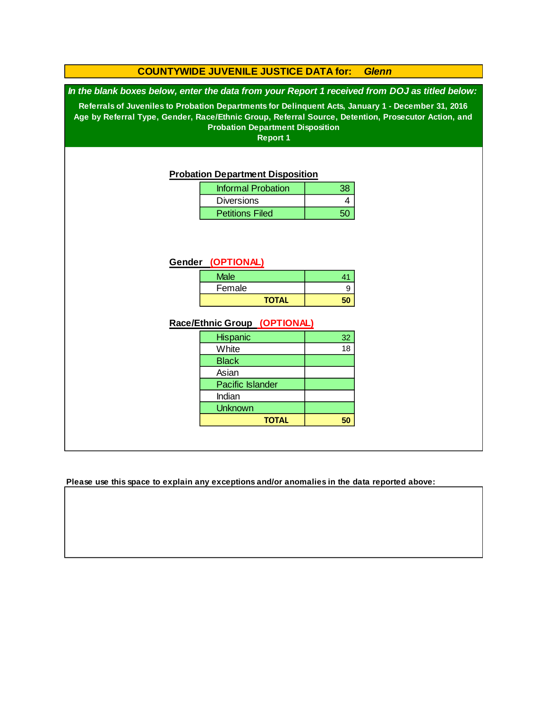## **COUNTYWIDE JUVENILE JUSTICE DATA for:** *Glenn*

*In the blank boxes below, enter the data from your Report 1 received from DOJ as titled below:*

**Referrals of Juveniles to Probation Departments for Delinquent Acts, January 1 - December 31, 2016 Age by Referral Type, Gender, Race/Ethnic Group, Referral Source, Detention, Prosecutor Action, and Probation Department Disposition**

**Report 1**

#### **Probation Department Disposition**

| <b>Informal Probation</b> | 38 |
|---------------------------|----|
| <b>Diversions</b>         |    |
| <b>Petitions Filed</b>    |    |

#### **Gender (OPTIONAL)**

| <b>Male</b>  |  |
|--------------|--|
| Female       |  |
| <b>TOTAL</b> |  |

#### **Race/Ethnic Group (OPTIONAL)**

| <b>Hispanic</b>  | 32              |
|------------------|-----------------|
| White            | $\overline{18}$ |
| <b>Black</b>     |                 |
| Asian            |                 |
| Pacific Islander |                 |
| Indian           |                 |
| <b>Unknown</b>   |                 |
| <b>TOTAL</b>     |                 |

**Please use this space to explain any exceptions and/or anomalies in the data reported above:**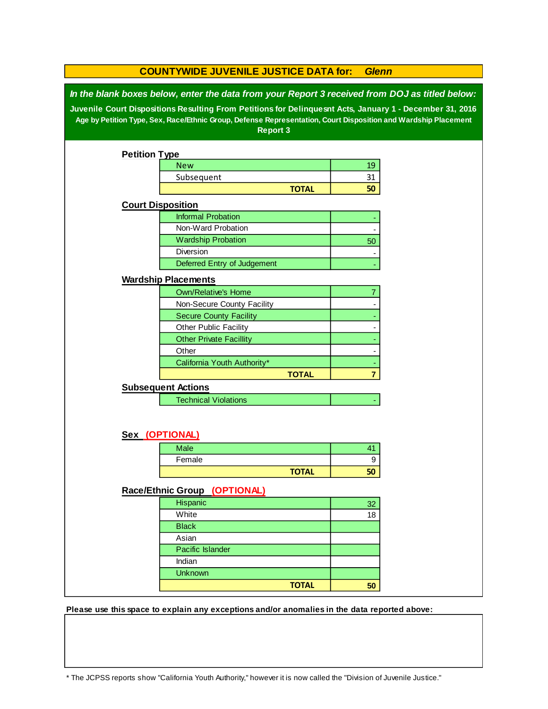| In the blank boxes below, enter the data from your Report 3 received from DOJ as titled below:<br>Juvenile Court Dispositions Resulting From Petitions for Delinquesnt Acts, January 1 - December 31, 2016 |  |
|------------------------------------------------------------------------------------------------------------------------------------------------------------------------------------------------------------|--|
| Age by Petition Type, Sex, Race/Ethnic Group, Defense Representation, Court Disposition and Wardship Placement                                                                                             |  |
| <b>Report 3</b>                                                                                                                                                                                            |  |
|                                                                                                                                                                                                            |  |
| <b>Petition Type</b>                                                                                                                                                                                       |  |
| <b>New</b><br>19                                                                                                                                                                                           |  |
| 31<br>Subsequent                                                                                                                                                                                           |  |
| 50<br><b>TOTAL</b>                                                                                                                                                                                         |  |
| <b>Court Disposition</b>                                                                                                                                                                                   |  |
| <b>Informal Probation</b>                                                                                                                                                                                  |  |
| Non-Ward Probation                                                                                                                                                                                         |  |
| <b>Wardship Probation</b><br>50                                                                                                                                                                            |  |
| Diversion                                                                                                                                                                                                  |  |
| Deferred Entry of Judgement                                                                                                                                                                                |  |
|                                                                                                                                                                                                            |  |
| <b>Wardship Placements</b>                                                                                                                                                                                 |  |
| <b>Own/Relative's Home</b><br>7                                                                                                                                                                            |  |
| Non-Secure County Facility                                                                                                                                                                                 |  |
| <b>Secure County Facility</b>                                                                                                                                                                              |  |
| Other Public Facility                                                                                                                                                                                      |  |
| <b>Other Private Facillity</b>                                                                                                                                                                             |  |
| Other                                                                                                                                                                                                      |  |
| California Youth Authority*                                                                                                                                                                                |  |
| <b>TOTAL</b><br>$\overline{7}$                                                                                                                                                                             |  |
| <b>Subsequent Actions</b>                                                                                                                                                                                  |  |
| <b>Technical Violations</b>                                                                                                                                                                                |  |
|                                                                                                                                                                                                            |  |
|                                                                                                                                                                                                            |  |
| Sex (OPTIONAL)                                                                                                                                                                                             |  |
| Male<br>41                                                                                                                                                                                                 |  |
| Female<br>9                                                                                                                                                                                                |  |
| <b>TOTAL</b><br>50                                                                                                                                                                                         |  |
|                                                                                                                                                                                                            |  |
| Race/Ethnic Group (OPTIONAL)                                                                                                                                                                               |  |
| Hispanic<br>32                                                                                                                                                                                             |  |
| White<br>18                                                                                                                                                                                                |  |
| <b>Black</b>                                                                                                                                                                                               |  |
| Asian                                                                                                                                                                                                      |  |
| Pacific Islander                                                                                                                                                                                           |  |
| Indian                                                                                                                                                                                                     |  |
| <b>Unknown</b>                                                                                                                                                                                             |  |
| <b>TOTAL</b><br>50                                                                                                                                                                                         |  |

**Please use this space to explain any exceptions and/or anomalies in the data reported above:** 

\* The JCPSS reports show "California Youth Authority," however it is now called the "Division of Juvenile Justice."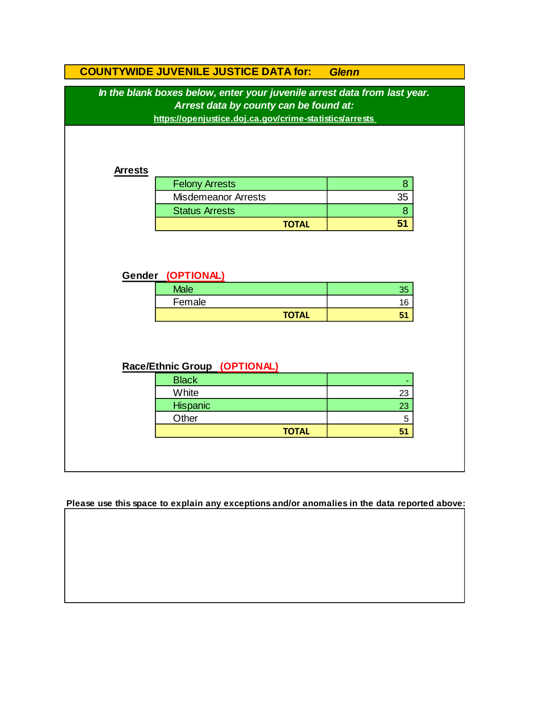|                                                                                                                     | <b>COUNTYWIDE JUVENILE JUSTICE DATA for:</b>            | <b>Glenn</b> |  |  |  |
|---------------------------------------------------------------------------------------------------------------------|---------------------------------------------------------|--------------|--|--|--|
| In the blank boxes below, enter your juvenile arrest data from last year.<br>Arrest data by county can be found at: |                                                         |              |  |  |  |
|                                                                                                                     | https://openjustice.doj.ca.gov/crime-statistics/arrests |              |  |  |  |
| <b>Arrests</b>                                                                                                      |                                                         |              |  |  |  |
|                                                                                                                     | <b>Felony Arrests</b>                                   | 8            |  |  |  |
|                                                                                                                     | <b>Misdemeanor Arrests</b>                              | 35           |  |  |  |
|                                                                                                                     | <b>Status Arrests</b>                                   | 8            |  |  |  |
|                                                                                                                     | <b>TOTAL</b>                                            | 51           |  |  |  |
| Gender (OPTIONAL)                                                                                                   |                                                         |              |  |  |  |
|                                                                                                                     | <b>Male</b>                                             | 35           |  |  |  |
|                                                                                                                     | Female                                                  | 16           |  |  |  |
|                                                                                                                     | <b>TOTAL</b>                                            | 51           |  |  |  |
| Race/Ethnic Group (OPTIONAL)                                                                                        |                                                         |              |  |  |  |
|                                                                                                                     | <b>Black</b>                                            |              |  |  |  |
|                                                                                                                     | White                                                   | 23           |  |  |  |
|                                                                                                                     | Hispanic                                                | 23           |  |  |  |
|                                                                                                                     | Other                                                   | 5            |  |  |  |
|                                                                                                                     | <b>TOTAL</b>                                            | 51           |  |  |  |
|                                                                                                                     |                                                         |              |  |  |  |

**Please use this space to explain any exceptions and/or anomalies in the data reported above:**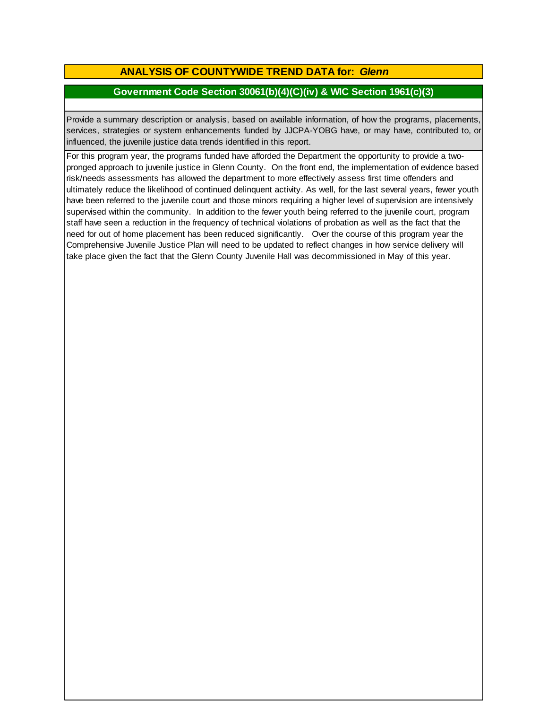# **ANALYSIS OF COUNTYWIDE TREND DATA for:** *Glenn*

# **Government Code Section 30061(b)(4)(C)(iv) & WIC Section 1961(c)(3)**

Provide <sup>a</sup> summary description or analysis, based on available information, of how the programs, placements, services, strategies or system enhancements funded by JJCPA-YOBG have, or may have, contributed to, or influenced, the juvenile justice data trends identified in this report.

For this program year, the programs funded have afforded the Department the opportunity to provide a twopronged approach to juvenile justice in Glenn County. On the front end, the implementation of evidence based risk/needs assessments has allowed the department to more effectively assess first time offenders and ultimately reduce the likelihood of continued delinquent activity. As well, for the last several years, fewer youth have been referred to the juvenile court and those minors requiring a higher level of supervision are intensively supervised within the community. In addition to the fewer youth being referred to the juvenile court, program staff have seen a reduction in the frequency of technical violations of probation as well as the fact that the need for out of home placement has been reduced significantly. Over the course of this program year the Comprehensive Juvenile Justice Plan will need to be updated to reflect changes in how service delivery will take place given the fact that the Glenn County Juvenile Hall was decommissioned in May of this year.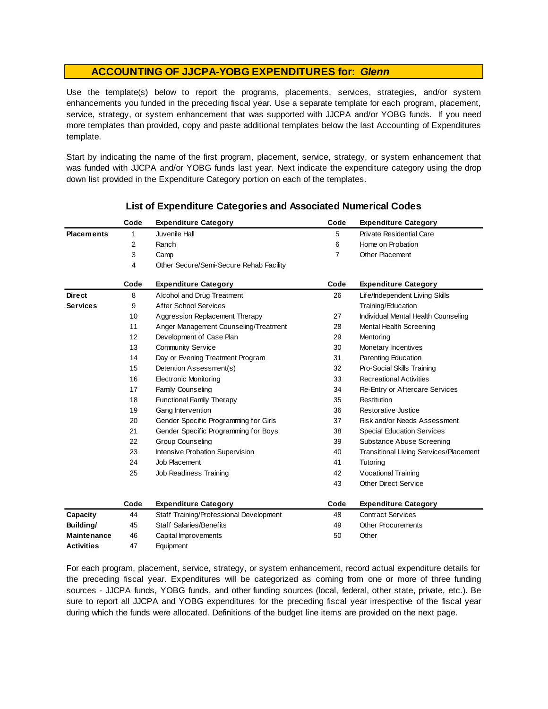### **ACCOUNTING OF JJCPA-YOBG EXPENDITURES for:** *Glenn*

Use the template(s) below to report the programs, placements, services, strategies, and/or system enhancements you funded in the preceding fiscal year. Use <sup>a</sup> separate template for each program, placement, service, strategy, or system enhancement that was supported with JJCPA and/or YOBG funds. If you need more templates than provided, copy and paste additional templates below the last Accounting of Expenditures template.

Start by indicating the name of the first program, placement, service, strategy, or system enhancement that was funded with JJCPA and/or YOBG funds last year. Next indicate the expenditure category using the drop down list provided in the Expenditure Category portion on each of the templates.

|                    | Code | <b>Expenditure Category</b>             | Code | <b>Expenditure Category</b>                   |
|--------------------|------|-----------------------------------------|------|-----------------------------------------------|
| <b>Placements</b>  | 1    | Juvenile Hall                           | 5    | Private Residential Care                      |
|                    | 2    | Ranch                                   | 6    | Home on Probation                             |
|                    | 3    | Camp                                    | 7    | <b>Other Placement</b>                        |
|                    | 4    | Other Secure/Semi-Secure Rehab Facility |      |                                               |
|                    | Code | <b>Expenditure Category</b>             | Code | <b>Expenditure Category</b>                   |
| <b>Direct</b>      | 8    | Alcohol and Drug Treatment              | 26   | Life/Independent Living Skills                |
| <b>Services</b>    | 9    | <b>After School Services</b>            |      | Training/Education                            |
|                    | 10   | Aggression Replacement Therapy          | 27   | Individual Mental Health Counseling           |
|                    | 11   | Anger Management Counseling/Treatment   | 28   | Mental Health Screening                       |
|                    | 12   | Development of Case Plan                | 29   | Mentoring                                     |
|                    | 13   | <b>Community Service</b>                | 30   | Monetary Incentives                           |
|                    | 14   | Day or Evening Treatment Program        | 31   | Parenting Education                           |
|                    | 15   | Detention Assessment(s)                 | 32   | Pro-Social Skills Training                    |
|                    | 16   | <b>Electronic Monitoring</b>            | 33   | <b>Recreational Activities</b>                |
|                    | 17   | Family Counseling                       | 34   | Re-Entry or Aftercare Services                |
|                    | 18   | <b>Functional Family Therapy</b>        | 35   | Restitution                                   |
|                    | 19   | Gang Intervention                       | 36   | Restorative Justice                           |
|                    | 20   | Gender Specific Programming for Girls   | 37   | Risk and/or Needs Assessment                  |
|                    | 21   | Gender Specific Programming for Boys    | 38   | <b>Special Education Services</b>             |
|                    | 22   | <b>Group Counseling</b>                 | 39   | Substance Abuse Screening                     |
|                    | 23   | Intensive Probation Supervision         | 40   | <b>Transitional Living Services/Placement</b> |
|                    | 24   | Job Placement                           | 41   | Tutoring                                      |
|                    | 25   | Job Readiness Training                  | 42   | Vocational Training                           |
|                    |      |                                         | 43   | <b>Other Direct Service</b>                   |
|                    | Code | <b>Expenditure Category</b>             | Code | <b>Expenditure Category</b>                   |
| Capacity           | 44   | Staff Training/Professional Development | 48   | <b>Contract Services</b>                      |
| Building/          | 45   | <b>Staff Salaries/Benefits</b>          | 49   | Other Procurements                            |
| <b>Maintenance</b> | 46   | Capital Improvements                    | 50   | Other                                         |
| <b>Activities</b>  | 47   | Equipment                               |      |                                               |

### **List of Expenditure Categories and Associated Numerical Codes**

For each program, placement, service, strategy, or system enhancement, record actual expenditure details for the preceding fiscal year. Expenditures will be categorized as coming from one or more of three funding sources - JJCPA funds, YOBG funds, and other funding sources (local, federal, other state, private, etc.). Be sure to report all JJCPA and YOBG expenditures for the preceding fiscal year irrespective of the fiscal year during which the funds were allocated. Definitions of the budget line items are provided on the next page.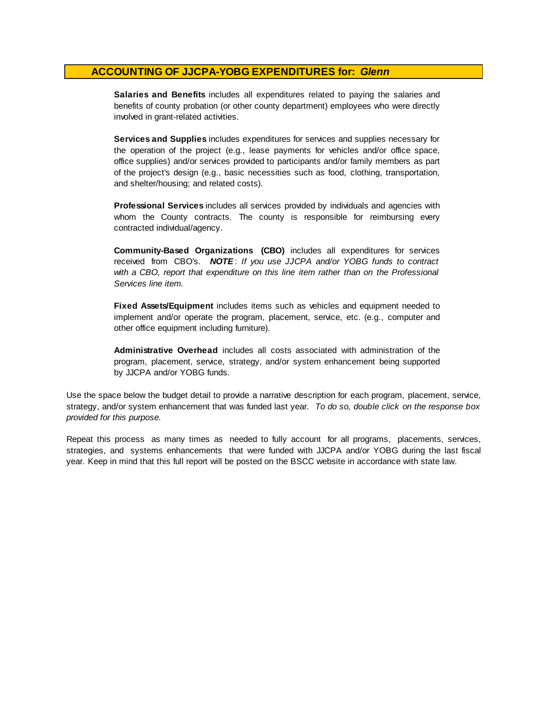### **ACCOUNTING OF JJCPA-YOBG EXPENDITURES for:** *Glenn*

**Salaries and Benefits** includes all expenditures related to paying the salaries and benefits of county probation (or other county department) employees who were directly involved in grant-related activities.

**Services and Supplies** includes expenditures for services and supplies necessary for the operation of the project (e.g., lease payments for vehicles and/or office space, office supplies) and/or services provided to participants and/or family members as part of the project's design (e.g., basic necessities such as food, clothing, transportation, and shelter/housing; and related costs).

**Professional Services** includes all services provided by individuals and agencies with whom the County contracts. The county is responsible for reimbursing every contracted individual/agency.

**Community-Based Organizations (CBO)** includes all expenditures for services received from CBO's. *NOTE* : *I f you use JJCPA and/or YOBG funds t o contract with <sup>a</sup> CBO, report that expenditure on this line item rather than on the Professional Services line item.*

**Fixed Assets/Equipment** includes items such as vehicles and equipment needed to implement and/or operate the program, placement, service, etc. (e.g., computer and other office equipment including furniture).

**Administrative Overhead** includes all costs associated with administration of the program, placement, service, strategy, and/or system enhancement being supported by JJCPA and/or YOBG funds.

Use the space below the budget detail to provide a narrative description for each program, placement, service, strategy, and/or system enhancement that was funded last year. *To do so, double click on the response box provided for this purpose.* 

Repeat this process as many times as needed to fully account for all programs, placements, services, strategies, and systems enhancements that were funded with JJCPA and/or YOBG during the last fiscal year. Keep in mind that this full report will be posted on the BSCC website in accordance with state law.